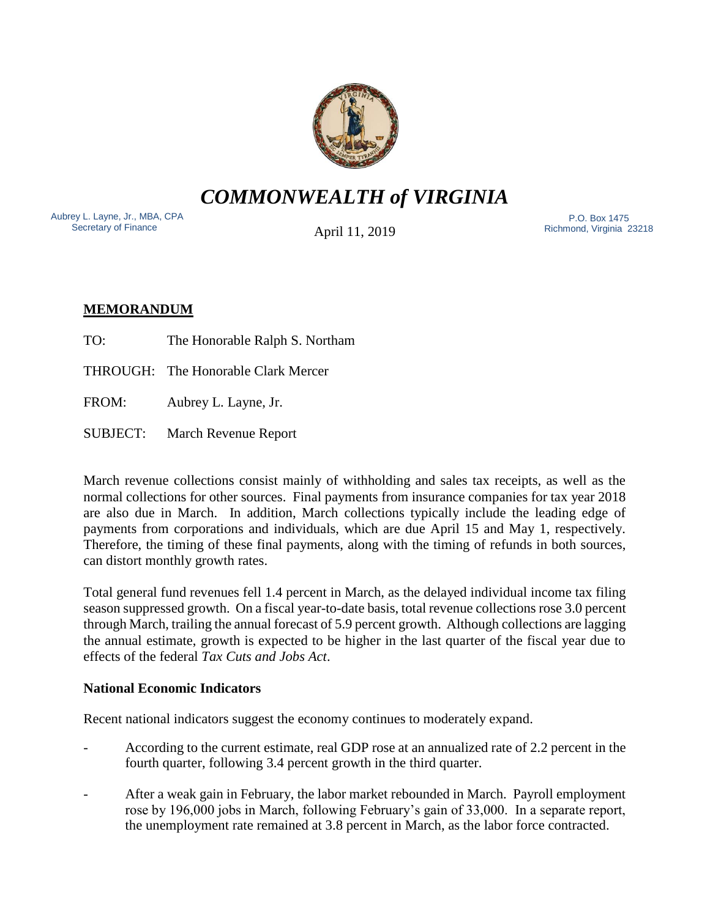

*COMMONWEALTH of VIRGINIA*

Aubrey L. Layne, Jr., MBA, CPA Secretary of Finance

April 11, 2019

 P.O. Box 1475 Richmond, Virginia 23218

# **MEMORANDUM**

TO: The Honorable Ralph S. Northam

THROUGH: The Honorable Clark Mercer

FROM: Aubrey L. Layne, Jr.

SUBJECT: March Revenue Report

March revenue collections consist mainly of withholding and sales tax receipts, as well as the normal collections for other sources. Final payments from insurance companies for tax year 2018 are also due in March. In addition, March collections typically include the leading edge of payments from corporations and individuals, which are due April 15 and May 1, respectively. Therefore, the timing of these final payments, along with the timing of refunds in both sources, can distort monthly growth rates.

Total general fund revenues fell 1.4 percent in March, as the delayed individual income tax filing season suppressed growth. On a fiscal year-to-date basis, total revenue collections rose 3.0 percent through March, trailing the annual forecast of 5.9 percent growth. Although collections are lagging the annual estimate, growth is expected to be higher in the last quarter of the fiscal year due to effects of the federal *Tax Cuts and Jobs Act*.

## **National Economic Indicators**

Recent national indicators suggest the economy continues to moderately expand.

- According to the current estimate, real GDP rose at an annualized rate of 2.2 percent in the fourth quarter, following 3.4 percent growth in the third quarter.
- After a weak gain in February, the labor market rebounded in March. Payroll employment rose by 196,000 jobs in March, following February's gain of 33,000. In a separate report, the unemployment rate remained at 3.8 percent in March, as the labor force contracted.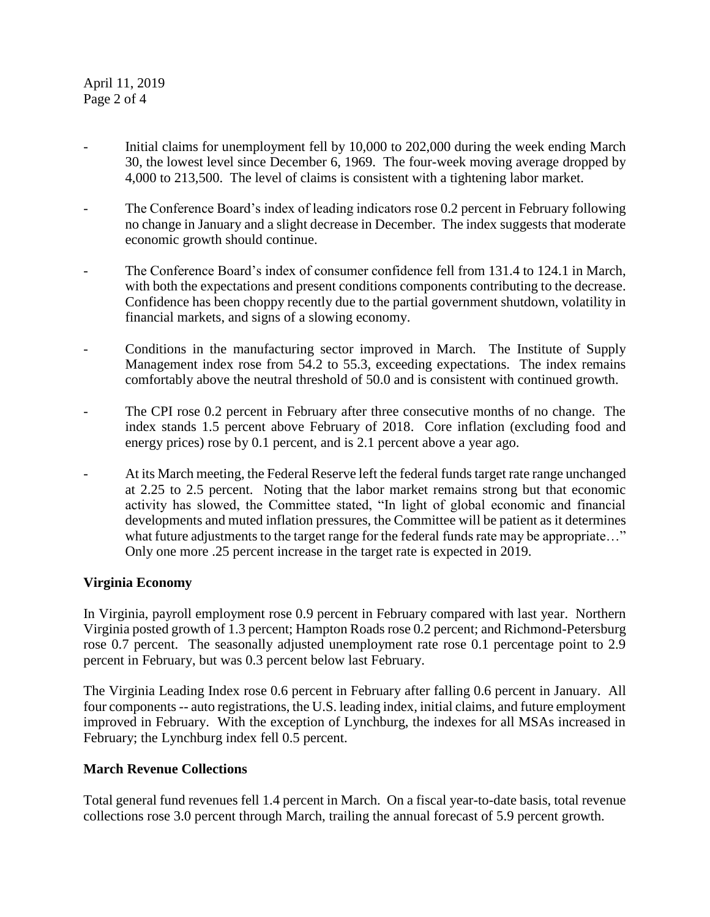## April 11, 2019 Page 2 of 4

- Initial claims for unemployment fell by 10,000 to 202,000 during the week ending March 30, the lowest level since December 6, 1969. The four-week moving average dropped by 4,000 to 213,500. The level of claims is consistent with a tightening labor market.
- The Conference Board's index of leading indicators rose 0.2 percent in February following no change in January and a slight decrease in December. The index suggests that moderate economic growth should continue.
- The Conference Board's index of consumer confidence fell from 131.4 to 124.1 in March, with both the expectations and present conditions components contributing to the decrease. Confidence has been choppy recently due to the partial government shutdown, volatility in financial markets, and signs of a slowing economy.
- Conditions in the manufacturing sector improved in March. The Institute of Supply Management index rose from 54.2 to 55.3, exceeding expectations. The index remains comfortably above the neutral threshold of 50.0 and is consistent with continued growth.
- The CPI rose 0.2 percent in February after three consecutive months of no change. The index stands 1.5 percent above February of 2018. Core inflation (excluding food and energy prices) rose by 0.1 percent, and is 2.1 percent above a year ago.
- At its March meeting, the Federal Reserve left the federal funds target rate range unchanged at 2.25 to 2.5 percent. Noting that the labor market remains strong but that economic activity has slowed, the Committee stated, "In light of global economic and financial developments and muted inflation pressures, the Committee will be patient as it determines what future adjustments to the target range for the federal funds rate may be appropriate..." Only one more .25 percent increase in the target rate is expected in 2019.

## **Virginia Economy**

In Virginia, payroll employment rose 0.9 percent in February compared with last year. Northern Virginia posted growth of 1.3 percent; Hampton Roads rose 0.2 percent; and Richmond-Petersburg rose 0.7 percent. The seasonally adjusted unemployment rate rose 0.1 percentage point to 2.9 percent in February, but was 0.3 percent below last February.

The Virginia Leading Index rose 0.6 percent in February after falling 0.6 percent in January. All four components -- auto registrations, the U.S. leading index, initial claims, and future employment improved in February. With the exception of Lynchburg, the indexes for all MSAs increased in February; the Lynchburg index fell 0.5 percent.

### **March Revenue Collections**

Total general fund revenues fell 1.4 percent in March. On a fiscal year-to-date basis, total revenue collections rose 3.0 percent through March, trailing the annual forecast of 5.9 percent growth.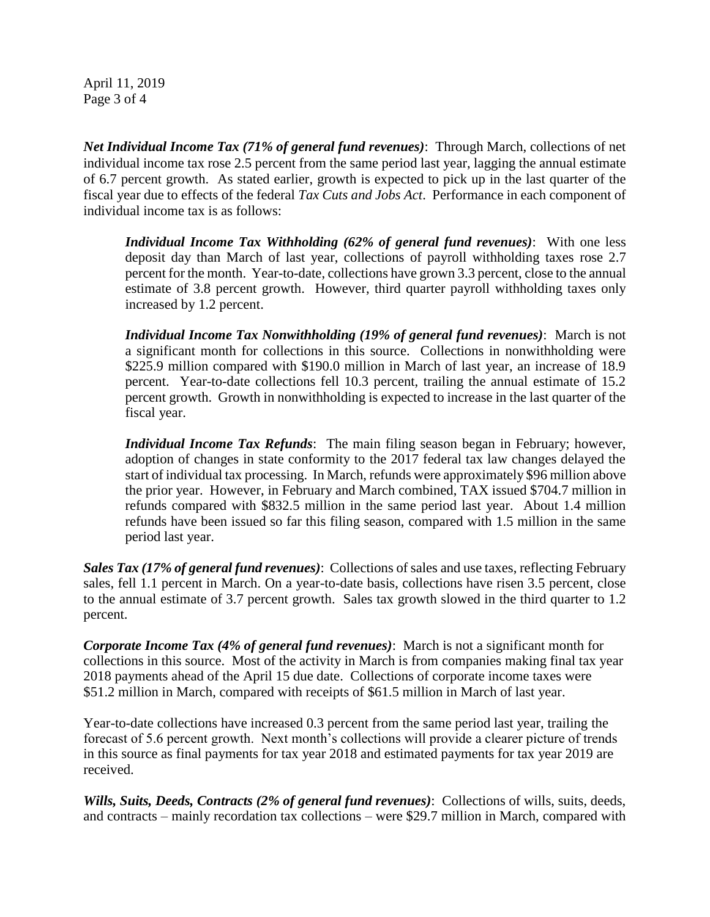April 11, 2019 Page 3 of 4

*Net Individual Income Tax (71% of general fund revenues)*: Through March, collections of net individual income tax rose 2.5 percent from the same period last year, lagging the annual estimate of 6.7 percent growth. As stated earlier, growth is expected to pick up in the last quarter of the fiscal year due to effects of the federal *Tax Cuts and Jobs Act*. Performance in each component of individual income tax is as follows:

*Individual Income Tax Withholding (62% of general fund revenues)*: With one less deposit day than March of last year, collections of payroll withholding taxes rose 2.7 percent for the month. Year-to-date, collections have grown 3.3 percent, close to the annual estimate of 3.8 percent growth. However, third quarter payroll withholding taxes only increased by 1.2 percent.

*Individual Income Tax Nonwithholding (19% of general fund revenues)*: March is not a significant month for collections in this source. Collections in nonwithholding were \$225.9 million compared with \$190.0 million in March of last year, an increase of 18.9 percent. Year-to-date collections fell 10.3 percent, trailing the annual estimate of 15.2 percent growth. Growth in nonwithholding is expected to increase in the last quarter of the fiscal year.

*Individual Income Tax Refunds*: The main filing season began in February; however, adoption of changes in state conformity to the 2017 federal tax law changes delayed the start of individual tax processing. In March, refunds were approximately \$96 million above the prior year. However, in February and March combined, TAX issued \$704.7 million in refunds compared with \$832.5 million in the same period last year. About 1.4 million refunds have been issued so far this filing season, compared with 1.5 million in the same period last year.

*Sales Tax (17% of general fund revenues)*: Collections of sales and use taxes, reflecting February sales, fell 1.1 percent in March. On a year-to-date basis, collections have risen 3.5 percent, close to the annual estimate of 3.7 percent growth. Sales tax growth slowed in the third quarter to 1.2 percent.

*Corporate Income Tax (4% of general fund revenues)*: March is not a significant month for collections in this source. Most of the activity in March is from companies making final tax year 2018 payments ahead of the April 15 due date. Collections of corporate income taxes were \$51.2 million in March, compared with receipts of \$61.5 million in March of last year.

Year-to-date collections have increased 0.3 percent from the same period last year, trailing the forecast of 5.6 percent growth. Next month's collections will provide a clearer picture of trends in this source as final payments for tax year 2018 and estimated payments for tax year 2019 are received.

*Wills, Suits, Deeds, Contracts (2% of general fund revenues)*: Collections of wills, suits, deeds, and contracts – mainly recordation tax collections – were \$29.7 million in March, compared with